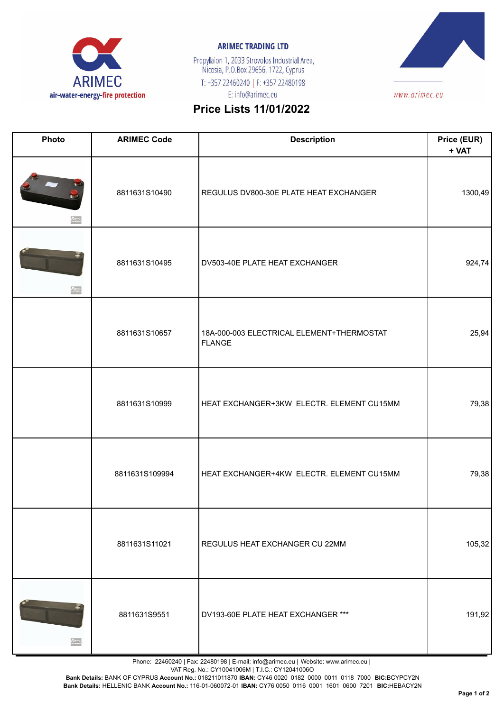

## **ARIMEC TRADING LTD**

Propylaion 1, 2033 Strovolos Industrial Area,<br>Nicosia, P.O.Box 29656, 1722, Cyprus T: +357 22460240 | F: +357 22480198 E: info@arimec.eu



## **Price Lists 11/01/2022**

| Photo               | <b>ARIMEC Code</b> | <b>Description</b>                                         | Price (EUR)<br>+ VAT |
|---------------------|--------------------|------------------------------------------------------------|----------------------|
|                     | 8811631S10490      | REGULUS DV800-30E PLATE HEAT EXCHANGER                     | 1300,49              |
| $R_{\text{Fermat}}$ | 8811631S10495      | DV503-40E PLATE HEAT EXCHANGER                             | 924,74               |
|                     | 8811631S10657      | 18A-000-003 ELECTRICAL ELEMENT+THERMOSTAT<br><b>FLANGE</b> | 25,94                |
|                     | 8811631S10999      | HEAT EXCHANGER+3KW ELECTR. ELEMENT CU15MM                  | 79,38                |
|                     | 8811631S109994     | HEAT EXCHANGER+4KW ELECTR. ELEMENT CU15MM                  | 79,38                |
|                     | 8811631S11021      | REGULUS HEAT EXCHANGER CU 22MM                             | 105,32               |
|                     | 8811631S9551       | DV193-60E PLATE HEAT EXCHANGER ***                         | 191,92               |

Phone: 22460240 | Fax: 22480198 | E-mail: info@arimec.eu | Website: www.arimec.eu |

VAT Reg. No.: CY10041006M | T.I.C.: CY12041006O

**Bank Details:** BANK OF CYPRUS **Account No.:** 018211011870 **IBAN:** CY46 0020 0182 0000 0011 0118 7000 **BIC:**BCYPCY2N

**Bank Details:** HELLENIC BANK **Account No.:** 116-01-060072-01 **IBAN:** CY76 0050 0116 0001 1601 0600 7201 **BIC:**HEBACY2N